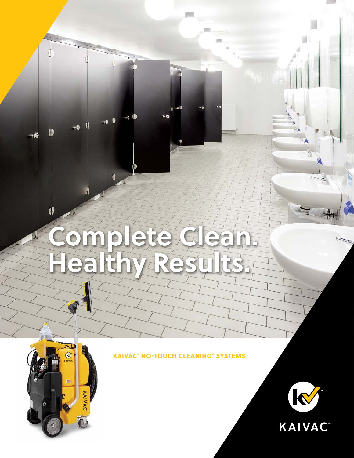# **Complete Clean. Healthy Results.**



 $\boldsymbol{\theta}$ 

## KAIVAC® NO-TOUCH CLEANING® SYSTEMS

 $\bullet$ 

 $\mathbf \theta$ 40

A

 $\theta$ -40



 $\mathcal{L}$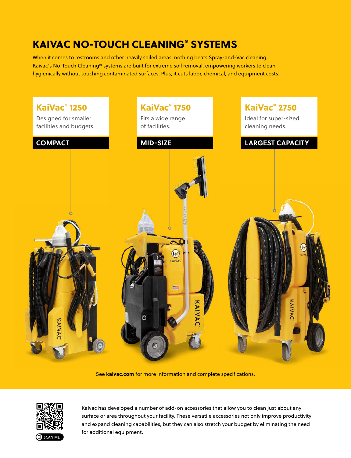## KAIVAC NO-TOUCH CLEANING® SYSTEMS

When it comes to restrooms and other heavily soiled areas, nothing beats Spray-and-Vac cleaning. Kaivac's No-Touch Cleaning® systems are built for extreme soil removal, empowering workers to clean hygienically without touching contaminated surfaces. Plus, it cuts labor, chemical, and equipment costs.



See **kaivac.com** for more information and complete specifications.



Kaivac has developed a number of add-on accessories that allow you to clean just about any surface or area throughout your facility. These versatile accessories not only improve productivity and expand cleaning capabilities, but they can also stretch your budget by eliminating the need for additional equipment.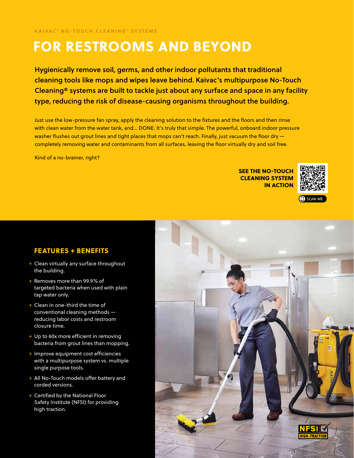# FOR RESTROOMS AND BEYOND

Hygienically remove soil, germs, and other indoor pollutants that traditional cleaning tools like mops and wipes leave behind. Kaivac's multipurpose No-Touch Cleaning® systems are built to tackle just about any surface and space in any facility type, reducing the risk of disease-causing organisms throughout the building.

Just use the low-pressure fan spray, apply the cleaning solution to the fixtures and the floors and then rinse with clean water from the water tank, and… DONE. It's truly that simple. The powerful, onboard indoor pressure washer flushes out grout lines and tight places that mops can't reach. Finally, just vacuum the floor dry completely removing water and contaminants from all surfaces, leaving the floor virtually dry and soil free.

Kind of a no-brainer, right?

SEE THE NO-TOUCH CLEANING SYSTEM IN ACTION





#### FEATURES + BENEFITS

- + Clean virtually any surface throughout the building.
- + Removes more than 99.9% of targeted bacteria when used with plain tap water only.
- + Clean in one-third the time of conventional cleaning methods reducing labor costs and restroom closure time.
- + Up to 60x more efficient in removing bacteria from grout lines than mopping.
- + Improve equipment cost efficiencies with a multipurpose system vs. multiple single purpose tools.
- + All No-Touch models offer battery and corded versions.
- + Certified by the National Floor Safety Institute (NFSI) for providing high traction.

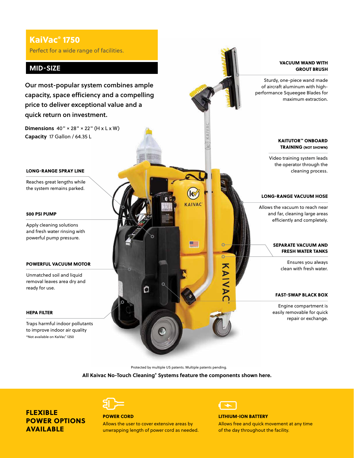## KaiVac® 1750

Perfect for a wide range of facilities.

#### **MID-SIZE**

Our most-popular system combines ample capacity, space efficiency and a compelling price to deliver exceptional value and a quick return on investment.

**Dimensions** 40" × 28" × 22" (H x L x W) **Capacity** 17 Gallon / 64.35 L

#### LONG-RANGE SPRAY LINE

Reaches great lengths while the system remains parked.

#### 500 PSI PUMP

Apply cleaning solutions and fresh water rinsing with powerful pump pressure.

#### POWERFUL VACUUM MOTOR

Unmatched soil and liquid removal leaves area dry and ready for use.

#### HEPA FILTER

Traps harmful indoor pollutants to improve indoor air quality \*Not available on KaiVac® 1250

KAITUTOR™ ONBOARD Video training system leads LONG-RANGE VACUUM HOSE **AIVAC** <u>ge</u> SEPARATE VACUUM AND Ensures you always KAIVA O FAST-SWAP BLACK BOX

Protected by multiple US patents. Multiple patents pending.

**All Kaivac No-Touch Cleaning® Systems feature the components shown here.**

FLEXIBLE POWER OPTIONS AVAILABLE



#### POWER CORD

Allows the user to cover extensive areas by unwrapping length of power cord as needed.



#### LITHIUM-ION BATTERY

Allows free and quick movement at any time of the day throughout the facility.

#### VACUUM WAND WITH GROUT BRUSH

Sturdy, one-piece wand made of aircraft aluminum with highperformance Squeegee Blades for maximum extraction.

## TRAINING (NOT SHOWN)

the operator through the cleaning process.

Allows the vacuum to reach near and far, cleaning large areas efficiently and completely.

## FRESH WATER TANKS

clean with fresh water.

Engine compartment is easily removable for quick repair or exchange.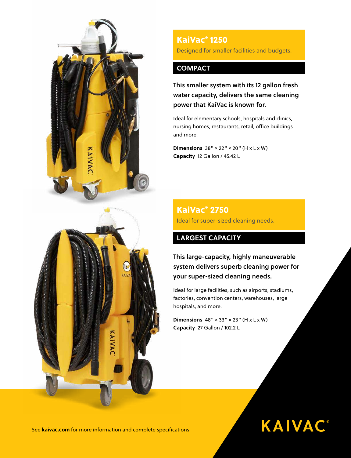

KaiVac® 1250 Designed for smaller facilities and budgets.

### **COMPACT**

This smaller system with its 12 gallon fresh water capacity, delivers the same cleaning power that KaiVac is known for.

Ideal for elementary schools, hospitals and clinics, nursing homes, restaurants, retail, office buildings and more.

**Dimensions** 38" × 22" × 20" (H x L x W) **Capacity** 12 Gallon / 45.42 L

## KaiVac® 2750 Ideal for super-sized cleaning needs.

## **LARGEST CAPACITY**

This large-capacity, highly maneuverable system delivers superb cleaning power for your super-sized cleaning needs.

Ideal for large facilities, such as airports, stadiums, factories, convention centers, warehouses, large hospitals, and more.

**KAIVAC®** 

**Dimensions**  $48'' \times 33'' \times 23''$  (H  $\times$  L  $\times$  W) **Capacity** 27 Gallon / 102.2 L

See **kaivac.com** for more information and complete specifications.